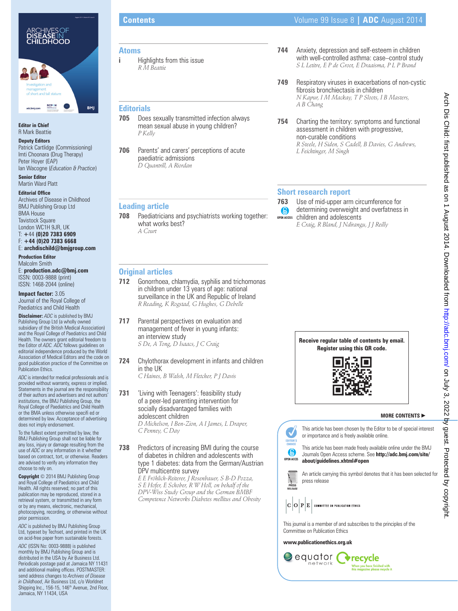

### **Editor in Chief** R Mark Beattie

**Deputy Editors** Patrick Cartlidge (Commissioning)

Imti Choonara (Drug Therapy) Peter Hoyer (EAP) Ian Wacogne (*Education & Practice*) **Senior Editor**

Martin Ward Platt

**Editorial Office** 

Archives of Disease in Childhood BMJ Publishing Group Ltd BMA House **Tavistock Square** London WC1H 9JR, UK T: **+**44 **(0)20 7383 6909** F: **+44 (0)20 7383 6668** E: **archdischild@bmjgroup.com**

**Production Editor**

Malcolm Smith E: **production.adc@bmj.com** ISSN: 0003-9888 (print) ISSN: 1468-2044 (online)

**Impact factor:** 3.05

Journal of the Royal College of Paediatrics and Child Health

**Disclaimer:** *ADC* is published by BMJ Publishing Group Ltd (a wholly owned subsidiary of the British Medical Association) and the Royal College of Paediatrics and Child Health. The owners grant editorial freedom to the Editor of *ADC. ADC* follows guidelines on editorial independence produced by the World Association of Medical Editors and the code on good publication practice of the Committee on Publication Ethics.

*ADC* is intended for medical professionals and is provided without warranty, express or implied. Statements in the journal are the responsibility of their authors and advertisers and not authors' institutions, the BMJ Publishing Group, the Royal College of Paediatrics and Child Health or the BMA unless otherwise specifi ed or determined by law. Acceptance of advertising does not imply endorsement.

To the fullest extent permitted by law, the BMJ Publishing Group shall not be liable for any loss, injury or damage resulting from the use of *ADC* or any information in it whether based on contract, tort, or otherwise. Readers are advised to verify any information they choose to rely on.

**Copyright** © 2014 BMJ Publishing Group and Royal College of Paediatrics and Child Health. All rights reserved; no part of this publication may be reproduced, stored in a retrieval system, or transmitted in any form or by any means, electronic, mechanical, photocopying, recording, or otherwise without prior permission.

*ADC* is published by BMJ Publishing Group Ltd, typeset by Techset, and printed in the UK on acid-free paper from sustainable forests.

*ADC* (ISSN No: 0003-9888) is published monthly by BMJ Publishing Group and is distributed in the USA by Air Business Ltd. Periodicals postage paid at Jamaica NY 11431 and additional mailing offices. POSTMASTER: send address changes to *Archives of Disease in Childhood*, Air Business Ltd, c/o Worldnet Shipping Inc., 156-15, 146<sup>th</sup> Avenue, 2nd Floor, Jamaica, NY 11434, USA

## **Atoms**

**i Highlights from this issue** *R M Beattie*

### **Editorials**

- **705** Does sexually transmitted infection always mean sexual abuse in young children? *P Kelly*
- **706** Parents' and carers' perceptions of acute paediatric admissions *D Quantrill, A Riordan*

### **Leading article**

**708** Paediatricians and psychiatrists working together: what works best? *A Court*

- **744** Anxiety, depression and self-esteem in children with well-controlled asthma: case–control study *S L Letitre, E P de Groot, E Draaisma, P L P Brand*
- **749** Respiratory viruses in exacerbations of non-cystic fibrosis bronchiectasis in children *N Kapur, I M Mackay, T P Sloots, I B Masters, A B Chang*
- **754** Charting the territory: symptoms and functional assessment in children with progressive, non-curable conditions *R Steele, H Siden, S Cadell, B Davies, G Andrews, L Feichtinger, M Singh*

### **Short research report**

- **763** Use of mid-upper arm circumference for determining overweight and overfatness in  $\odot$ children and adolescents **OPEN ACCESS**
	- *E Craig, R Bland, J Ndirangu, J J Reilly*

### **Original articles**

- **712** Gonorrhoea, chlamydia, syphilis and trichomonas in children under 13 years of age: national surveillance in the UK and Republic of Ireland *R Reading, K Rogstad, G Hughes, G Debelle*
- **717** Parental perspectives on evaluation and management of fever in young infants: an interview study *S De, A Tong, D Isaacs, J C Craig*
- **724** Chylothorax development in infants and children in the UK

*C Haines, B Walsh, M Fletcher, P J Davis*

- **731** 'Living with Teenagers': feasibility study of a peer-led parenting intervention for socially disadvantaged families with adolescent children *D Michelson, I Ben-Zion, A I James, L Draper, C Penney, C Day*
- **738** Predictors of increasing BMI during the course of diabetes in children and adolescents with type 1 diabetes: data from the German/Austrian DPV multicentre survey

*E E Fröhlich-Reiterer, J Rosenbauer, S B-D Pozza, S E Hofer, E Schober, R W Holl, on behalf of the DPV-Wiss Study Group and the German BMBF Competence Networks Diabetes mellitus and Obesity*





### **MORE CONTENTS** -



**V**recycle

.<br>When you have finished with<br>this magazine please recycle it

equator (

network